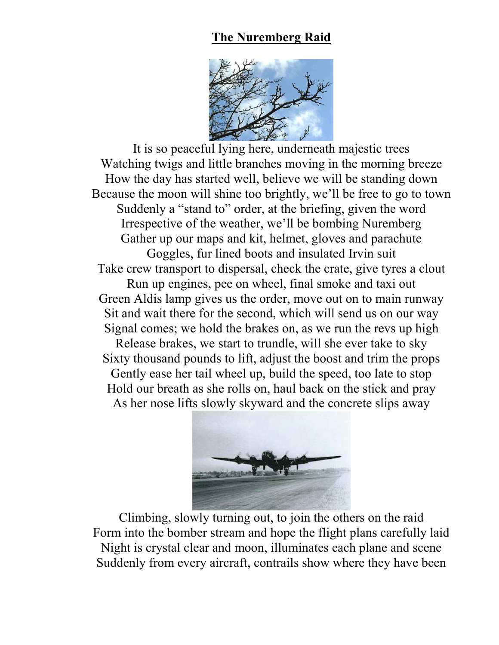## **The Nuremberg Raid**



It is so peaceful lying here, underneath majestic trees Watching twigs and little branches moving in the morning breeze How the day has started well, believe we will be standing down Because the moon will shine too brightly, we'll be free to go to town Suddenly a "stand to" order, at the briefing, given the word Irrespective of the weather, we'll be bombing Nuremberg Gather up our maps and kit, helmet, gloves and parachute Goggles, fur lined boots and insulated Irvin suit Take crew transport to dispersal, check the crate, give tyres a clout Run up engines, pee on wheel, final smoke and taxi out Green Aldis lamp gives us the order, move out on to main runway Sit and wait there for the second, which will send us on our way Signal comes; we hold the brakes on, as we run the revs up high Release brakes, we start to trundle, will she ever take to sky Sixty thousand pounds to lift, adjust the boost and trim the props Gently ease her tail wheel up, build the speed, too late to stop Hold our breath as she rolls on, haul back on the stick and pray As her nose lifts slowly skyward and the concrete slips away



Climbing, slowly turning out, to join the others on the raid Form into the bomber stream and hope the flight plans carefully laid Night is crystal clear and moon, illuminates each plane and scene Suddenly from every aircraft, contrails show where they have been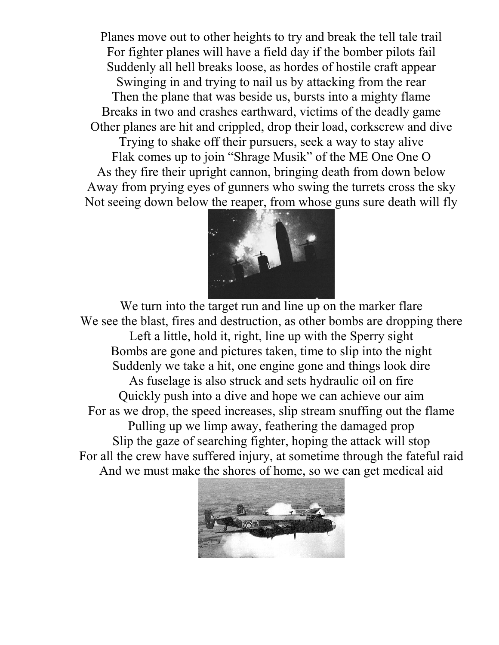Planes move out to other heights to try and break the tell tale trail For fighter planes will have a field day if the bomber pilots fail Suddenly all hell breaks loose, as hordes of hostile craft appear Swinging in and trying to nail us by attacking from the rear Then the plane that was beside us, bursts into a mighty flame Breaks in two and crashes earthward, victims of the deadly game Other planes are hit and crippled, drop their load, corkscrew and dive

Trying to shake off their pursuers, seek a way to stay alive Flak comes up to join "Shrage Musik" of the ME One One O As they fire their upright cannon, bringing death from down below Away from prying eyes of gunners who swing the turrets cross the sky Not seeing down below the reaper, from whose guns sure death will fly



We turn into the target run and line up on the marker flare We see the blast, fires and destruction, as other bombs are dropping there Left a little, hold it, right, line up with the Sperry sight Bombs are gone and pictures taken, time to slip into the night Suddenly we take a hit, one engine gone and things look dire As fuselage is also struck and sets hydraulic oil on fire Quickly push into a dive and hope we can achieve our aim For as we drop, the speed increases, slip stream snuffing out the flame Pulling up we limp away, feathering the damaged prop Slip the gaze of searching fighter, hoping the attack will stop For all the crew have suffered injury, at sometime through the fateful raid And we must make the shores of home, so we can get medical aid

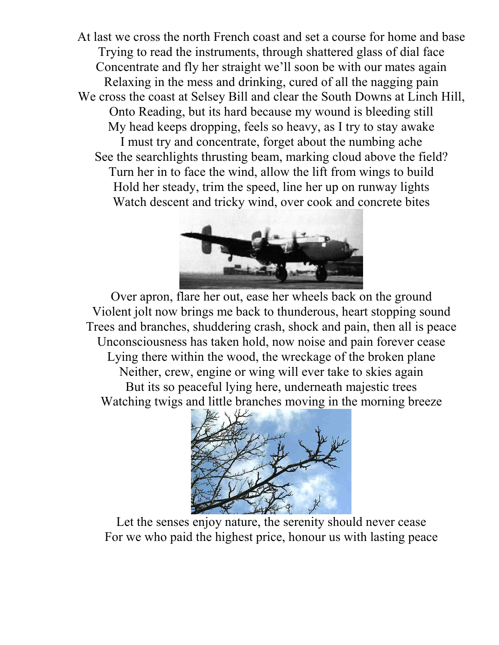At last we cross the north French coast and set a course for home and base Trying to read the instruments, through shattered glass of dial face Concentrate and fly her straight we'll soon be with our mates again Relaxing in the mess and drinking, cured of all the nagging pain We cross the coast at Selsey Bill and clear the South Downs at Linch Hill, Onto Reading, but its hard because my wound is bleeding still My head keeps dropping, feels so heavy, as I try to stay awake I must try and concentrate, forget about the numbing ache See the searchlights thrusting beam, marking cloud above the field? Turn her in to face the wind, allow the lift from wings to build Hold her steady, trim the speed, line her up on runway lights Watch descent and tricky wind, over cook and concrete bites



Over apron, flare her out, ease her wheels back on the ground Violent jolt now brings me back to thunderous, heart stopping sound Trees and branches, shuddering crash, shock and pain, then all is peace Unconsciousness has taken hold, now noise and pain forever cease Lying there within the wood, the wreckage of the broken plane Neither, crew, engine or wing will ever take to skies again But its so peaceful lying here, underneath majestic trees Watching twigs and little branches moving in the morning breeze



Let the senses enjoy nature, the serenity should never cease For we who paid the highest price, honour us with lasting peace